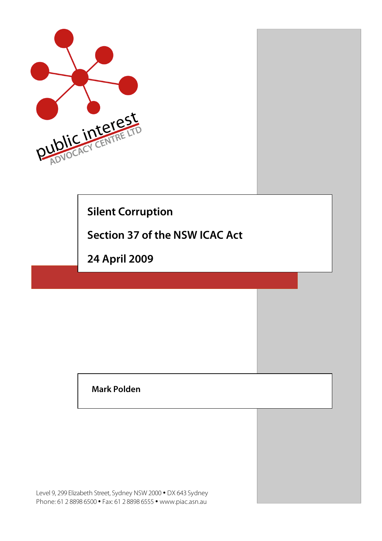

# **Silent Corruption**

**Section 37 of the NSW ICAC Act**

**24 April 2009**

**Mark Polden**

Level 9, 299 Elizabeth Street, Sydney NSW 2000 • DX 643 Sydney Phone: 61 2 8898 6500 • Fax: 61 2 8898 6555 • www.piac.asn.au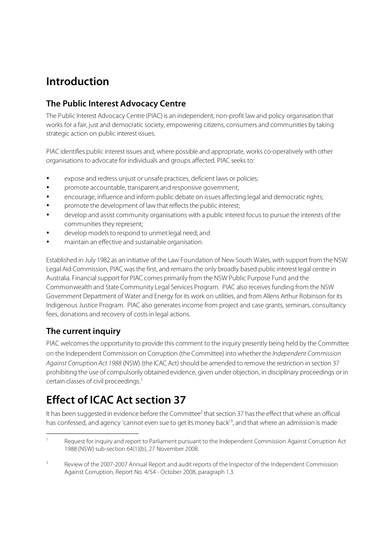### **Introduction**

### **The Public Interest Advocacy Centre**

The Public Interest Advocacy Centre (PIAC) is an independent, non-profit law and policy organisation that works for a fair, just and democratic society, empowering citizens, consumers and communities by taking strategic action on public interest issues.

PIAC identifies public interest issues and, where possible and appropriate, works co-operatively with other organisations to advocate for individuals and groups affected. PIAC seeks to:

- expose and redress unjust or unsafe practices, deficient laws or policies;
- promote accountable, transparent and responsive government;
- encourage, influence and inform public debate on issues affecting legal and democratic rights;
- promote the development of law that reflects the public interest;
- develop and assist community organisations with a public interest focus to pursue the interests of the communities they represent;
- develop models to respond to unmet legal need; and
- maintain an effective and sustainable organisation.

Established in July 1982 as an initiative of the Law Foundation of New South Wales, with support from the NSW Legal Aid Commission, PIAC was the first, and remains the only broadly based public interest legal centre in Australia. Financial support for PIAC comes primarily from the NSW Public Purpose Fund and the Commonwealth and State Community Legal Services Program. PIAC also receives funding from the NSW Government Department of Water and Energy for its work on utilities, and from Allens Arthur Robinson for its Indigenous Justice Program. PIAC also generatesincome from project and case grants, seminars, consultancy fees, donations and recovery of costs in legal actions.

### **The current inquiry**

PIAC welcomes the opportunity to provide this comment to the inquiry presently being held by the Committee on the Independent Commission on Corruption (the Committee) into whether the Independent Commission Against Corruption Act 1988 (NSW) (the ICAC Act) should be amended to remove the restriction in section 37 prohibiting the use of compulsorily obtained evidence, given under objection, in disciplinary proceedings or in certain classes of civil proceedings. 1

# **Effect of ICAC Act section 37**

It has been suggested in evidence before the Committee<sup>2</sup> that section 37 has the effect that where an official has confessed, and agency 'cannot even sue to get its money back<sup>13</sup>, and that where an admission is made

Request for inquiry and report to Parliament pursuant to the Independent Commission Against Corruption Act 1988 (NSW) sub-section 64(1)(b), 27 November 2008.

<sup>&</sup>lt;sup>3</sup> Review of the 2007-2007 Annual Report and audit reports of the Inspector of the Independent Commission Against Corruption, Report No. 4/54 - October 2008, paragraph 1.3.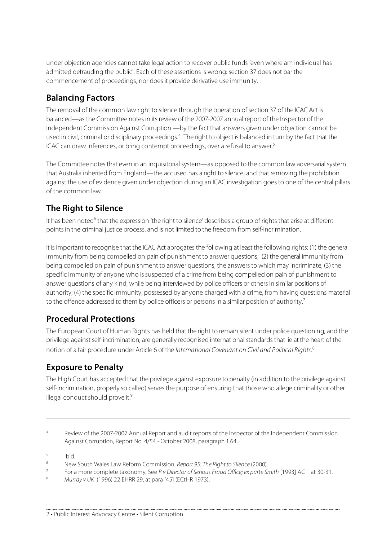under objection agencies cannot take legal action to recover public funds 'even where am individual has admitted defrauding the public'. Each of these assertions is wrong: section 37 does not bar the commencement of proceedings, nor doesit provide derivative use immunity.

#### **Balancing Factors**

The removal of the common law right to silence through the operation of section 37 of the ICAC Act is balanced—as the Committee notesin itsreview of the 2007-2007 annual report of the Inspector of the Independent Commission Against Corruption —by the fact that answers given under objection cannot be used in civil, criminal or disciplinary proceedings.<sup>4</sup> The right to object is balanced in turn by the fact that the ICAC can draw inferences, or bring contempt proceedings, over a refusal to answer. 5

The Committee notes that even in an inquisitorial system—as opposed to the common law adversarial system that Australia inherited from England—the accused has a right to silence, and that removing the prohibition against the use of evidence given under objection during an ICAC investigation goesto one of the central pillars of the common law.

### **The Right to Silence**

It has been noted<sup>6</sup> that the expression 'the right to silence' describes a group of rights that arise at different points in the criminal justice process, and is not limited to the freedom from self-incrimination.

It is important to recognise that the ICAC Act abrogates the following at least the following rights: (1) the general immunity from being compelled on pain of punishment to answer questions; (2) the general immunity from being compelled on pain of punishment to answer questions, the answersto which may incriminate; (3) the specific immunity of anyone who is suspected of a crime from being compelled on pain of punishment to answer questions of any kind, while being interviewed by police officers or others in similar positions of authority; (4) the specific immunity, possessed by anyone charged with a crime, from having questions material to the offence addressed to them by police officers or persons in a similar position of authority.<sup>7</sup>

#### **Procedural Protections**

The European Court of Human Rights has held that the right to remain silent under police questioning, and the privilege against self-incrimination, are generally recognised international standards that lie at the heart of the notion of a fair procedure under Article 6 of the International Covenant on Civil and Political Rights.<sup>8</sup>

### **Exposure to Penalty**

The High Court has accepted that the privilege against exposure to penalty (in addition to the privilege against self-incrimination, properly so called) serves the purpose of ensuring that those who allege criminality or other illegal conduct should prove it.<sup>9</sup>

<sup>4</sup> Review of the 2007-2007 Annual Report and audit reports of the Inspector of the Independent Commission Against Corruption, Report No. 4/54 - October 2008, paragraph 1.64.

 $\frac{5}{6}$  Ibid.

 $\overline{a}$ 

Murray v UK (1996) 22 EHRR 29, at para [45] (ECtHR 1973).

<sup>&</sup>lt;sup>6</sup> New South Wales Law Reform Commission, Report 95: The Right to Silence (2000).

<sup>7</sup> For a more complete taxonomy, See R v Director of Serious Fraud Office; ex parte Smith [1993] AC 1 at 30-31.<br>Attenually (1996) 33 FLIPP 39, at nore [45] (EG+LIP 1973).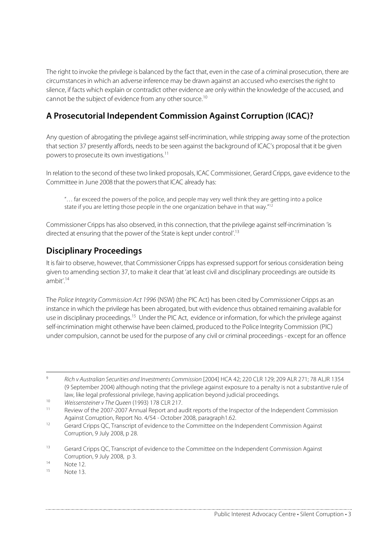The right to invoke the privilege is balanced by the fact that, even in the case of a criminal prosecution, there are circumstancesin which an adverse inference may be drawn against an accused who exercisesthe right to silence, if facts which explain or contradict other evidence are only within the knowledge of the accused, and cannot be the subject of evidence from any other source.<sup>10</sup>

#### **A Prosecutorial Independent Commission Against Corruption (ICAC)?**

Any question of abrogating the privilege against self-incrimination, while stripping away some of the protection that section 37 presently affords, needs to be seen against the background of ICAC's proposal that it be given powers to prosecute its own investigations.<sup>11</sup>

In relation to the second of these two linked proposals, ICAC Commissioner, Gerard Cripps, gave evidence to the Committee in June 2008 that the powers that ICAC already has:

"… far exceed the powers of the police, and people may very well think they are getting into a police state if you are letting those people in the one organization behave in that way."<sup>12</sup>

Commissioner Cripps has also observed, in this connection, that the privilege againstself-incrimination 'is directed at ensuring that the power of the State is kept under control'.<sup>13</sup>

### **Disciplinary Proceedings**

It is fair to observe, however, that Commissioner Cripps has expressed support for serious consideration being given to amending section 37, to make it clear that 'at least civil and disciplinary proceedings are outside its ambit'. 14

The Police Integrity Commission Act 1996 (NSW) (the PIC Act) has been cited by Commissioner Cripps as an instance in which the privilege has been abrogated, but with evidence thus obtained remaining available for use in disciplinary proceedings.<sup>15</sup> Under the PIC Act, evidence or information, for which the privilege against self-incrimination might otherwise have been claimed, produced to the Police Integrity Commission (PIC) under compulsion, cannot be used for the purpose of any civil or criminal proceedings - except for an offence

 <sup>9</sup> Rich <sup>v</sup> Australian Securities and Investments Commission [2004] HCA 42; 220 CLR 129; 209 ALR 271; 78 ALJR <sup>1354</sup> (9 September 2004) although noting that the privilege against exposure to a penalty is not a substantive rule of law, like legal professional privilege, having application beyond judicial proceedings.

<sup>10</sup> Weissensteiner v The Queen (1993) 178 CLR 217.

Review of the 2007-2007 Annual Report and audit reports of the Inspector of the Independent Commission Against Corruption, Report No. 4/54 - October 2008, paragraph1.62.

<sup>&</sup>lt;sup>12</sup> Gerard Cripps QC, Transcript of evidence to the Committee on the Independent Commission Against Corruption, 9 July 2008, p 28.

<sup>&</sup>lt;sup>13</sup> Gerard Cripps QC, Transcript of evidence to the Committee on the Independent Commission Against Corruption, 9 July 2008, p 3.

 $\frac{14}{15}$  Note 12.

Note 13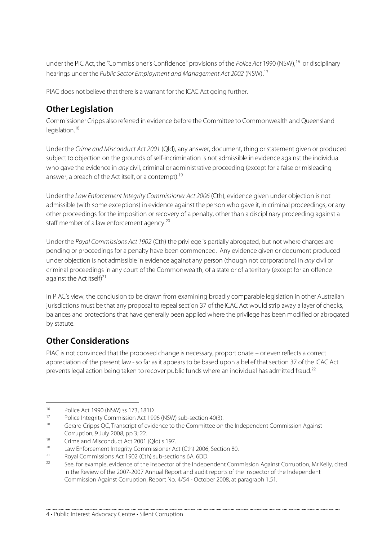under the PIC Act, the "Commissioner's Confidence" provisions of the Police Act 1990 (NSW),<sup>16</sup> or disciplinary hearings under the Public Sector Employment and Management Act 2002 (NSW).<sup>17</sup>

PIAC does not believe that there is a warrant for the ICAC Act going further.

### **Other Legislation**

Commissioner Cripps also referred in evidence before the Committee to Commonwealth and Queensland legislation.<sup>18</sup>

Under the Crime and Misconduct Act 2001 (Qld), any answer, document, thing or statement given or produced subject to objection on the grounds of self-incrimination is not admissible in evidence against the individual who gave the evidence in any civil, criminal or administrative proceeding (except for a false or misleading answer, a breach of the Act itself, or a contempt).<sup>19</sup>

Under the Law Enforcement Integrity Commissioner Act 2006 (Cth), evidence given under objection is not admissible (with some exceptions) in evidence against the person who gave it, in criminal proceedings, or any other proceedings for the imposition or recovery of a penalty, other than a disciplinary proceeding against a staff member of a law enforcement agency.<sup>20</sup>

Under the Royal Commissions Act 1902 (Cth) the privilege is partially abrogated, but not where charges are pending or proceedings for a penalty have been commenced. Any evidence given or document produced under objection is not admissible in evidence against any person (though not corporations) in any civil or criminal proceedings in any court of the Commonwealth, of a state or of a territory (except for an offence against the Act itself)<sup>21</sup>

In PIAC's view, the conclusion to be drawn from examining broadly comparable legislation in other Australian jurisdictions must be that any proposal to repeal section 37 of the ICAC Act would strip away a layer of checks, balances and protections that have generally been applied where the privilege has been modified or abrogated by statute.

### **Other Considerations**

PIAC is not convinced that the proposed change is necessary, proportionate – or even reflects a correct appreciation of the present law - so far as it appears to be based upon a belief that section 37 of the ICAC Act prevents legal action being taken to recover public funds where an individual has admitted fraud.<sup>22</sup>

<sup>&</sup>lt;sup>16</sup> Police Act 1990 (NSW) ss 173, 181D

<sup>17</sup> Police Integrity Commission Act 1996 (NSW) sub-section 40(3).<br>18 Caracter Crime OC Transmitt of a video acto the Committee and

Gerard Cripps QC, Transcript of evidence to the Committee on the Independent Commission Against Corruption, 9 July 2008, pp 3; 22.

<sup>&</sup>lt;sup>19</sup> Crime and Misconduct Act 2001 (Qld) s 197.

<sup>&</sup>lt;sup>20</sup> Law Enforcement Integrity Commissioner Act (Cth) 2006, Section 80.<br><sup>21</sup> Paul Commissions Act 1003 (Cth) sub-sections 6.4, SDD.

<sup>21</sup> Royal Commissions Act 1902 (Cth) sub-sections 6A, 6DD.

<sup>22</sup> See, for example, evidence of the Inspector of the Independent Commission Against Corruption, Mr Kelly, cited in the Review of the 2007-2007 Annual Report and audit reports of the Inspector of the Independent Commission Against Corruption, Report No. 4/54 - October 2008, at paragraph 1.51.